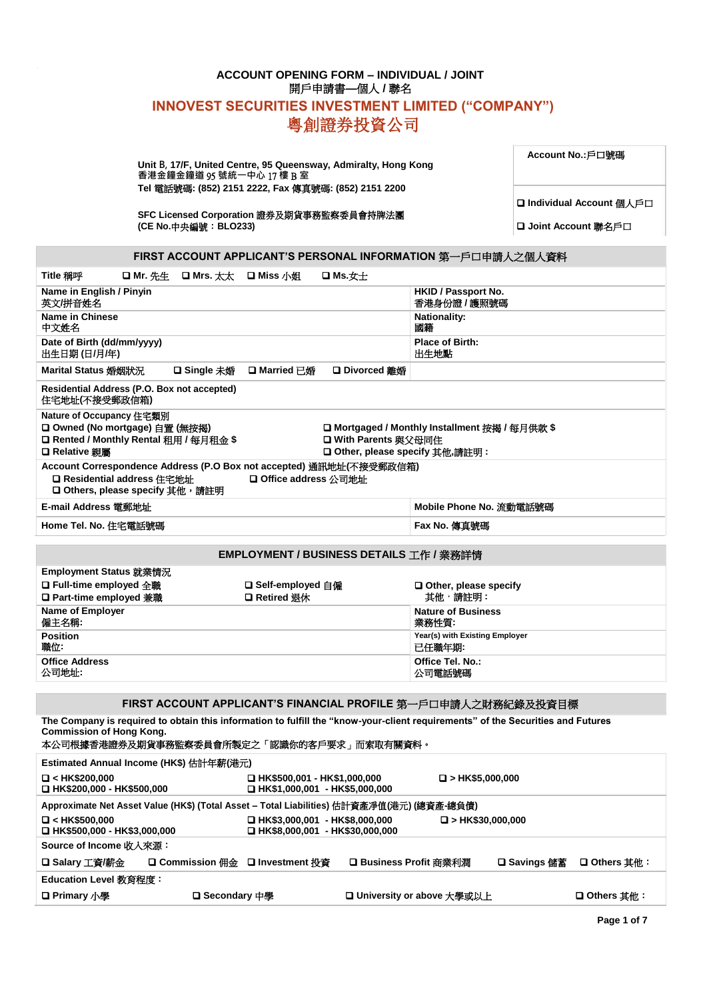# **ACCOUNT OPENING FORM – INDIVIDUAL / JOINT** 開戶申請書**—**個人 **/** 聯名 **INNOVEST SECURITIES INVESTMENT LIMITED ("COMPANY")** 粵創證券投資公司

**Unit B, 17/F, United Centre, 95 Queensway, Admiralty, Hong Kong 香港金鐘金鐘道** 95 **號統一中心** 17 **樓** B **室 Tel** 電話號碼**: (852) 2151 2222, Fax** 傳真號碼**: (852) 2151 2200**

**Account No.:**戶口號碼

SFC Licensed Corporation 證券及期貨事務監察委員會持牌法團<br>(CE No.中央編號:BLO233) D Joint Account 聯名戶口 **(CE No.中央編號:BLO233)** 

❑ **Individual Account** 個人戶口

**FIRST ACCOUNT APPLICANT'S PERSONAL INFORMATION** 第一戶口申請人之個人資料

| Title 稱呼                                                                                                             | <b>ロ Mr. 先生</b>                                                                                                                  | <b>□ Mrs.</b> 太太 | <b>□</b> Miss 小姐                                 | ❏ Ms.女士                                                                                   |                                                                                                                                 |
|----------------------------------------------------------------------------------------------------------------------|----------------------------------------------------------------------------------------------------------------------------------|------------------|--------------------------------------------------|-------------------------------------------------------------------------------------------|---------------------------------------------------------------------------------------------------------------------------------|
| Name in English / Pinyin<br>英文/拼音姓名                                                                                  |                                                                                                                                  |                  |                                                  |                                                                                           | HKID / Passport No.<br>香港身份證 / 護照號碼                                                                                             |
| <b>Name in Chinese</b><br>中文姓名                                                                                       |                                                                                                                                  |                  |                                                  |                                                                                           | <b>Nationality:</b><br>國籍                                                                                                       |
| Date of Birth (dd/mm/yyyy)<br>出生日期(日/月/年)                                                                            |                                                                                                                                  |                  |                                                  |                                                                                           | <b>Place of Birth:</b><br>出生地點                                                                                                  |
| Marital Status 婚姻狀況                                                                                                  |                                                                                                                                  | □ Single 未婚      | □ Married 已婚                                     | □ Divorced 離婚                                                                             |                                                                                                                                 |
| Residential Address (P.O. Box not accepted)<br>住宅地址(不接受郵政信箱)                                                         |                                                                                                                                  |                  |                                                  |                                                                                           |                                                                                                                                 |
| Nature of Occupancy 住宅類別<br>□ Owned (No mortgage) 自置 (無按揭)<br>□ Rented / Monthly Rental 租用 / 每月租金\$<br>□ Relative 親屬 |                                                                                                                                  |                  |                                                  | □ With Parents 與父母同住<br>□ Other, please specify 其他,請註明:                                   | □ Mortgaged / Monthly Installment 按揭 / 每月供款 \$                                                                                  |
| □ Residential address 住宅地址<br>□ Others, please specify 其他, 請註明                                                       |                                                                                                                                  |                  | □ Office address 公司地址                            | Account Correspondence Address (P.O Box not accepted) 通訊地址(不接受郵政信箱)                       |                                                                                                                                 |
| E-mail Address 電郵地址                                                                                                  |                                                                                                                                  |                  |                                                  |                                                                                           | Mobile Phone No. 流動電話號碼                                                                                                         |
| Home Tel. No. 住宅電話號碼                                                                                                 |                                                                                                                                  |                  |                                                  |                                                                                           | Fax No. 傳真號碼                                                                                                                    |
|                                                                                                                      |                                                                                                                                  |                  |                                                  |                                                                                           |                                                                                                                                 |
|                                                                                                                      |                                                                                                                                  |                  |                                                  | EMPLOYMENT / BUSINESS DETAILS 工作 / 業務詳情                                                   |                                                                                                                                 |
| Employment Status 就業情況<br>□ Full-time employed 全職<br>□ Part-time employed 兼職                                         |                                                                                                                                  |                  | <b>□ Self-employed 自僱</b><br><b>□ Retired 退休</b> |                                                                                           | $\Box$ Other, please specify<br>其他,請註明:                                                                                         |
| <b>Name of Employer</b><br>僱主名稱:                                                                                     |                                                                                                                                  |                  |                                                  |                                                                                           | <b>Nature of Business</b><br>業務性質:                                                                                              |
| <b>Position</b><br>職位:                                                                                               |                                                                                                                                  |                  |                                                  |                                                                                           | Year(s) with Existing Employer<br>已任職年期:                                                                                        |
| <b>Office Address</b><br>公司地址:                                                                                       |                                                                                                                                  |                  |                                                  |                                                                                           | Office Tel. No.:<br>公司電話號碼                                                                                                      |
|                                                                                                                      |                                                                                                                                  |                  |                                                  |                                                                                           |                                                                                                                                 |
|                                                                                                                      |                                                                                                                                  |                  |                                                  |                                                                                           | FIRST ACCOUNT APPLICANT'S FINANCIAL PROFILE 第一戶口申請人之財務紀錄及投資目標                                                                   |
| <b>Commission of Hong Kong.</b>                                                                                      |                                                                                                                                  |                  |                                                  | 本公司根據香港證券及期貨事務監察委員會所製定之「認識你的客戶要求」而索取有關資料。                                                 | The Company is required to obtain this information to fulfill the "know-your-client requirements" of the Securities and Futures |
| Estimated Annual Income (HK\$) 估計年薪(港元)                                                                              |                                                                                                                                  |                  |                                                  |                                                                                           |                                                                                                                                 |
| $\Box$ < HK\$200,000                                                                                                 | <b>□ HK\$500,001 - HK\$1,000,000</b><br>$\Box$ > HK\$5,000,000<br>□ HK\$200,000 - HK\$500,000<br>□ HK\$1,000,001 - HK\$5,000,000 |                  |                                                  |                                                                                           |                                                                                                                                 |
|                                                                                                                      |                                                                                                                                  |                  |                                                  | Approximate Net Asset Value (HK\$) (Total Asset – Total Liabilities) 估計資產凈值(港元) (總資產-總負債) |                                                                                                                                 |
| $\Box$ < HK\$500,000<br>□ HK\$500,000 - HK\$3,000,000                                                                |                                                                                                                                  |                  |                                                  | ❑ HK\$3,000,001 - HK\$8,000,000<br>□ HK\$8,000,001 - HK\$30,000,000                       | $\Box$ > HK\$30,000,000                                                                                                         |

❑ **Primary** 小學 ❑ **Secondary** 中學 ❑ **University or above** 大學或以上 ❑ **Others** 其他︰

| Source of Income 收入來源: |                                 |                            |                           |  |
|------------------------|---------------------------------|----------------------------|---------------------------|--|
| 「❏ Salary 工資/薪金        | □ Commission 佣金 □ Investment 投資 | └── □ Business Profit 商業利潤 | □ Savings 儲蓄 □ Others 其他: |  |

**Education Level 教育程度:** 

**Page 1 of 7**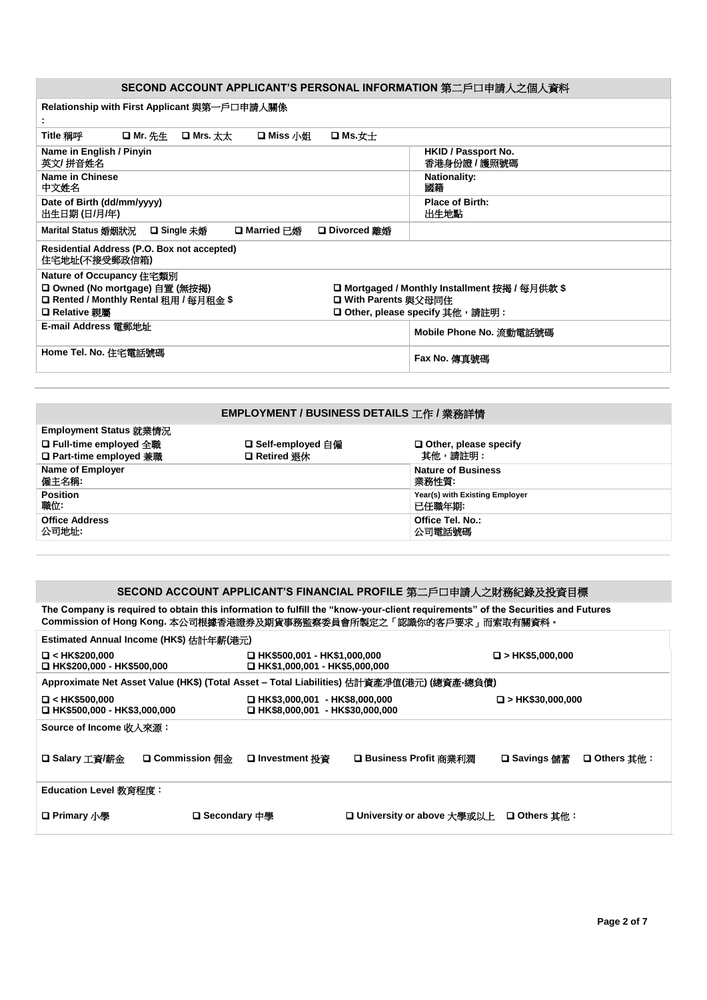## **SECOND ACCOUNT APPLICANT'S PERSONAL INFORMATION** 第二戶口申請人之個人資料

| Relationship with First Applicant 與第一戶口申請人關係<br>t.                                                                                                                                                                                               |                                |  |  |  |
|--------------------------------------------------------------------------------------------------------------------------------------------------------------------------------------------------------------------------------------------------|--------------------------------|--|--|--|
| Title 稱呼<br><b>□ Mr.</b> 先生<br>口 Mrs. 太太<br>口 Miss 小姐<br>□ Ms. $\pm$                                                                                                                                                                             |                                |  |  |  |
| Name in English / Pinyin<br>HKID / Passport No.<br>英文/ 拼音姓名<br>香港身份證 / 護照號碼                                                                                                                                                                      |                                |  |  |  |
| Name in Chinese<br>中文姓名                                                                                                                                                                                                                          | <b>Nationality:</b><br>國籍      |  |  |  |
| Date of Birth (dd/mm/yyyy)<br>出生日期(日/月/年)                                                                                                                                                                                                        | <b>Place of Birth:</b><br>出生地點 |  |  |  |
| Marital Status 婚姻狀況<br>□ Single 未婚<br>□ Married 已婚<br><b>□</b> Divorced 離婚                                                                                                                                                                       |                                |  |  |  |
| Residential Address (P.O. Box not accepted)<br>住宅地址(不接受郵政信箱)                                                                                                                                                                                     |                                |  |  |  |
| Nature of Occupancy 住宅類別<br>□ Owned (No mortgage) 自置 (無按揭)<br>□ Mortgaged / Monthly Installment 按揭 / 每月供款 \$<br>□ Rented / Monthly Rental 租用 / 每月租金 \$<br><b>□ With Parents 與父母同住</b><br><b>□ Other, please specify 其他,請註明:</b><br>□ Relative 親屬 |                                |  |  |  |
| E-mail Address 電郵地址<br>Mobile Phone No. 流動電話號碼                                                                                                                                                                                                   |                                |  |  |  |
| Home Tel. No. 住宅電話號碼                                                                                                                                                                                                                             | Fax No. 傳真號碼                   |  |  |  |
|                                                                                                                                                                                                                                                  |                                |  |  |  |

## **EMPLOYMENT / BUSINESS DETAILS** 工作 **/** 業務詳情

**Employment Status** 就業情況

| <b>Employment Status 就来頂沉</b> |                     |                                |
|-------------------------------|---------------------|--------------------------------|
| □ Full-time employed 全職       | □ Self-employed 自僱  | $\Box$ Other, please specify   |
| □ Part-time employed 兼職       | <b>□ Retired 退休</b> | 其他,請註明 :                       |
| <b>Name of Employer</b>       |                     | <b>Nature of Business</b>      |
| 僱主名稱:                         |                     | 業務性質:                          |
| <b>Position</b>               |                     | Year(s) with Existing Employer |
| 職位:                           |                     | 已任職年期:                         |
| <b>Office Address</b>         |                     | Office Tel. No.:               |
| 公司地址:                         |                     | 公司電話號碼                         |
|                               |                     |                                |

## **SECOND ACCOUNT APPLICANT'S FINANCIAL PROFILE** 第二戶口申請人之財務紀錄及投資目標

**The Company is required to obtain this information to fulfill the "know-your-client requirements" of the Securities and Futures Commission of Hong Kong.** 本公司根據香港證券及期貨事務監察委員會所製定之「認識你的客戶要求」而索取有關資料。

| Estimated Annual Income (HK\$) 估計年薪(港元)                    |                                                                                                |                              |  |  |  |  |
|------------------------------------------------------------|------------------------------------------------------------------------------------------------|------------------------------|--|--|--|--|
| $\Box$ < HK\$200,000<br>□ HK\$200.000 - HK\$500.000        | □ HK\$500,001 - HK\$1,000,000<br>□ HK\$1.000.001 - HK\$5.000.000                               | $\Box$ > HK\$5,000,000       |  |  |  |  |
|                                                            | Approximate Net Asset Value (HK\$) (Total Asset - Total Liabilities) 估計資產凈值(港元) (總資產-總負債)      |                              |  |  |  |  |
| $\Box$ < HK\$500,000<br>$\Box$ HK\$500,000 - HK\$3,000,000 | □ HK\$3,000,001 - HK\$8,000,000<br>$\Box$ > HK\$30,000,000<br>□ HK\$8,000,001 - HK\$30,000,000 |                              |  |  |  |  |
| Source of Income 收入來源:                                     |                                                                                                |                              |  |  |  |  |
| <b>□ Commission 佣金</b><br>□ Salary 工資/薪金                   | □ Business Profit 商業利潤<br>❏ Investment 投資                                                      | □ Savings 儲蓄<br>□ Others 其他: |  |  |  |  |
| Education Level 教育程度:                                      |                                                                                                |                              |  |  |  |  |
| <b>□ Primary</b> 小學<br>□ Secondary 中學                      | □ University or above 大學或以上 □ Others 其他:                                                       |                              |  |  |  |  |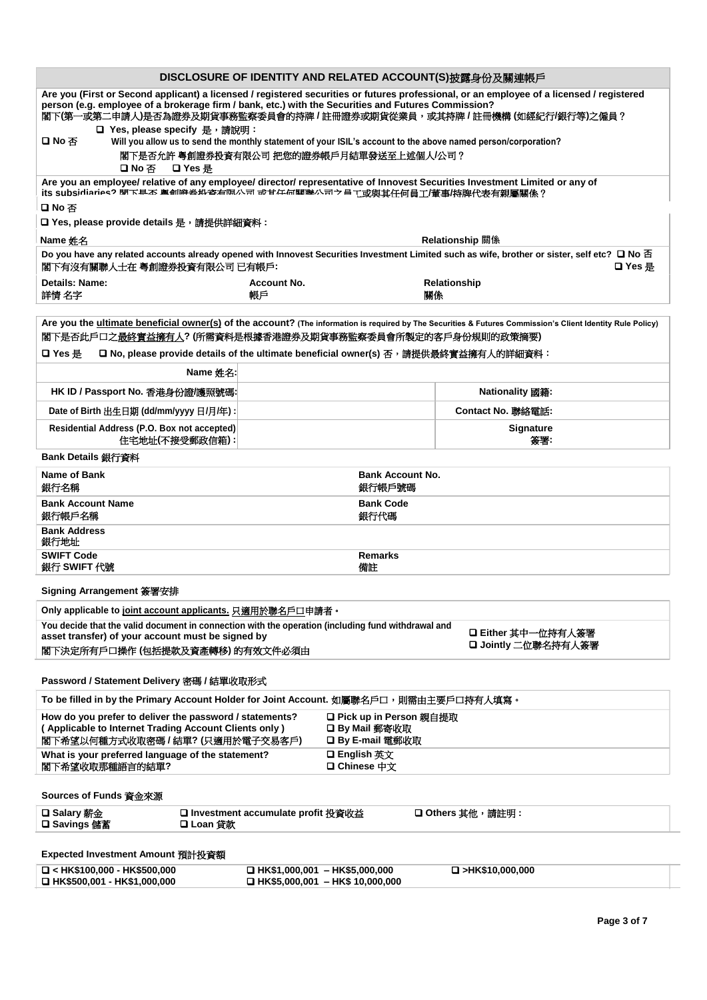|                                                                                                                                                                                                                                                                                                                                                        |                                                                           |                                   | DISCLOSURE OF IDENTITY AND RELATED ACCOUNT(S)披露身份及關連帳戶                                                                                                                                |  |  |
|--------------------------------------------------------------------------------------------------------------------------------------------------------------------------------------------------------------------------------------------------------------------------------------------------------------------------------------------------------|---------------------------------------------------------------------------|-----------------------------------|---------------------------------------------------------------------------------------------------------------------------------------------------------------------------------------|--|--|
| Are you (First or Second applicant) a licensed / registered securities or futures professional, or an employee of a licensed / registered<br>person (e.g. employee of a brokerage firm / bank, etc.) with the Securities and Futures Commission?<br>閣下(第一或第二申請人)是否為證券及期貨事務監察委員會的持牌/註冊證券或期貨從業員,或其持牌/註冊機構(如經紀行/銀行等)之僱員?<br>□ Yes, please specify 是, 請說明: |                                                                           |                                   |                                                                                                                                                                                       |  |  |
| 口No否<br>Will you allow us to send the monthly statement of your ISIL's account to the above named person/corporation?<br>閣下是否允許 粤創證券投資有限公司 把您的證券帳戶月結單發送至上述個人/公司?<br>□ Yes 是<br>口No否                                                                                                                                                                    |                                                                           |                                   |                                                                                                                                                                                       |  |  |
| Are you an employee/ relative of any employee/ director/ representative of Innovest Securities Investment Limited or any of<br>.<br>its subsidiariae? 閉下具不 奥創浴芸如咨右傾八司 命甘仁何間職八司フ昌工或與其任何員工/董事/持牌代表有親屬關係?                                                                                                                                                 |                                                                           |                                   |                                                                                                                                                                                       |  |  |
| 口No否<br>□ Yes, please provide details 是,請提供詳細資料:                                                                                                                                                                                                                                                                                                       |                                                                           |                                   |                                                                                                                                                                                       |  |  |
| Name 姓名                                                                                                                                                                                                                                                                                                                                                |                                                                           |                                   | Relationship 關係                                                                                                                                                                       |  |  |
| 閣下有沒有關聯人士在 粵創證券投資有限公司 已有帳戶:                                                                                                                                                                                                                                                                                                                            |                                                                           |                                   | Do you have any related accounts already opened with Innovest Securities Investment Limited such as wife, brother or sister, self etc? $\square$ No $\overline{\triangle}$<br>❏ Yes 是 |  |  |
| Details: Name:<br>詳情 名字                                                                                                                                                                                                                                                                                                                                | <b>Account No.</b><br>帳戶                                                  | 關係                                | Relationship                                                                                                                                                                          |  |  |
| 閣下是否此戶口之最終實益擁有人? (所需資料是根據香港證券及期貨事務監察委員會所製定的客戶身份規則的政策摘要)                                                                                                                                                                                                                                                                                                |                                                                           |                                   | Are you the ultimate beneficial owner(s) of the account? (The information is required by The Securities & Futures Commission's Client Identity Rule Policy)                           |  |  |
| □ No, please provide details of the ultimate beneficial owner(s) 否, 請提供最終實益擁有人的詳細資料:<br>ロ Yes 是                                                                                                                                                                                                                                                        |                                                                           |                                   |                                                                                                                                                                                       |  |  |
| Name 姓名:                                                                                                                                                                                                                                                                                                                                               |                                                                           |                                   |                                                                                                                                                                                       |  |  |
| HK ID / Passport No. 香港身份證/護照號碼:                                                                                                                                                                                                                                                                                                                       |                                                                           |                                   | Nationality 國籍:                                                                                                                                                                       |  |  |
| Date of Birth 出生日期 (dd/mm/yyyy 日/月/年):                                                                                                                                                                                                                                                                                                                 |                                                                           |                                   | Contact No. 聯絡電話:                                                                                                                                                                     |  |  |
| Residential Address (P.O. Box not accepted)<br>住宅地址(不接受郵政信箱):                                                                                                                                                                                                                                                                                          |                                                                           |                                   | <b>Signature</b><br>簽署:                                                                                                                                                               |  |  |
| Bank Details 銀行資料                                                                                                                                                                                                                                                                                                                                      |                                                                           |                                   |                                                                                                                                                                                       |  |  |
| Name of Bank<br>銀行名稱                                                                                                                                                                                                                                                                                                                                   |                                                                           | <b>Bank Account No.</b><br>銀行帳戶號碼 |                                                                                                                                                                                       |  |  |
| <b>Bank Account Name</b><br>銀行帳戶名稱                                                                                                                                                                                                                                                                                                                     |                                                                           | <b>Bank Code</b><br>銀行代碼          |                                                                                                                                                                                       |  |  |
| <b>Bank Address</b><br>銀行地址                                                                                                                                                                                                                                                                                                                            |                                                                           |                                   |                                                                                                                                                                                       |  |  |
| <b>SWIFT Code</b><br>銀行 SWIFT 代號                                                                                                                                                                                                                                                                                                                       |                                                                           | <b>Remarks</b><br>備註              |                                                                                                                                                                                       |  |  |
| Signing Arrangement 簽署安排                                                                                                                                                                                                                                                                                                                               |                                                                           |                                   |                                                                                                                                                                                       |  |  |
| Only applicable to joint account applicants. 只適用於聯名戶口申請者。<br>You decide that the valid document in connection with the operation (including fund withdrawal and                                                                                                                                                                                        |                                                                           |                                   |                                                                                                                                                                                       |  |  |
| asset transfer) of your account must be signed by<br>閣下決定所有戶口操作 (包括提款及資產轉移) 的有效文件必須由                                                                                                                                                                                                                                                                   |                                                                           |                                   | □ Either 其中一位持有人簽署<br>□ Jointly 二位聯名持有人簽署                                                                                                                                             |  |  |
| Password / Statement Delivery 密碼 / 結單收取形式                                                                                                                                                                                                                                                                                                              |                                                                           |                                   |                                                                                                                                                                                       |  |  |
| To be filled in by the Primary Account Holder for Joint Account. 如屬聯名戶口, 則需由主要戶口持有人填寫。                                                                                                                                                                                                                                                                 |                                                                           |                                   |                                                                                                                                                                                       |  |  |
| How do you prefer to deliver the password / statements?<br><b>□ Pick up in Person 親自提取</b><br>( Applicable to Internet Trading Account Clients only )<br>□ By Mail 郵寄收取<br>閣下希望以何種方式收取密碼 / 結單? (只適用於電子交易客戶)<br>□ By E-mail 電郵收取                                                                                                                        |                                                                           |                                   |                                                                                                                                                                                       |  |  |
| What is your preferred language of the statement?<br>□ English 英文<br>閣下希望收取那種語言的結單?<br>□ Chinese 中文                                                                                                                                                                                                                                                    |                                                                           |                                   |                                                                                                                                                                                       |  |  |
| Sources of Funds 資金來源                                                                                                                                                                                                                                                                                                                                  |                                                                           |                                   |                                                                                                                                                                                       |  |  |
| □ Salary 薪金<br>□ Investment accumulate profit 投資收益<br>□ Others 其他,請註明:<br>□ Loan 貸款<br>□ Savings 儲蓄                                                                                                                                                                                                                                                    |                                                                           |                                   |                                                                                                                                                                                       |  |  |
| Expected Investment Amount 預計投資額                                                                                                                                                                                                                                                                                                                       |                                                                           |                                   |                                                                                                                                                                                       |  |  |
| $\Box$ < HK\$100,000 - HK\$500,000<br>□ HK\$500,001 - HK\$1,000,000                                                                                                                                                                                                                                                                                    | $\Box$ HK\$1,000,001 - HK\$5,000,000<br>□ HK\$5,000,001 - HK\$ 10,000,000 |                                   | $\Box$ >HK\$10,000,000                                                                                                                                                                |  |  |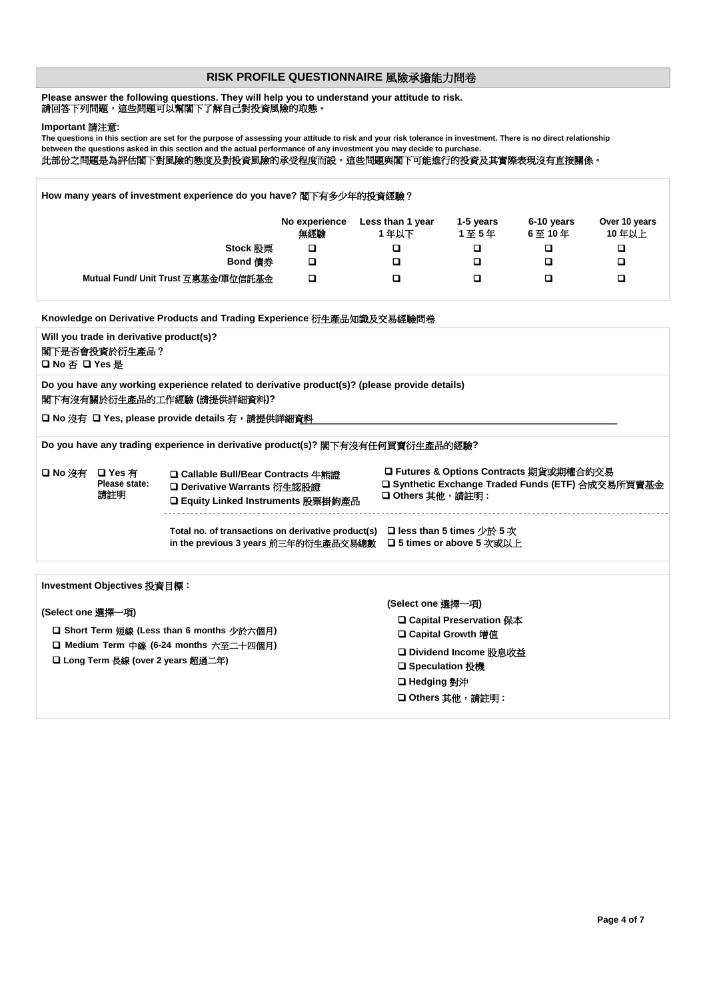### **RISK PROFILE QUESTIONNAIRE** 風險承擔能力問卷

#### **Please answer the following questions. They will help you to understand your attitude to risk.** 請回答下列問題,這些問題可以幫閣下了解自己對投資風險的取態。

#### **Important** 請注意**:**

**The questions in this section are set for the purpose of assessing your attitude to risk and your risk tolerance in investment. There is no direct relationship between the questions asked in this section and the actual performance of any investment you may decide to purchase.** 此部份之問題是為評估閣下對風險的態度及對投資風險的承受程度而設。這些問題與閣下可能進行的投資及其實際表現沒有直接關係。

**How many years of investment experience do you have?** 閣下有多少年的投資經驗? **No experience Less than 1 year 1-5 years 6-10 years Over 10 years** 無經驗 **1** 年以下 **1** 至 **5** 年 **6** 至 **10** 年 **10** 年以上 **Stock** 股票 ❑ ❑ ❑ ❑ ❑ **Bond** 債券 ❑ ❑ ❑ ❑ ❑ **Mutual Fund/ Unit Trust** 互惠基金**/**單位信託基金 ❑ ❑ ❑ ❑ ❑ **Knowledge on Derivative Products and Trading Experience** 衍生產品知識及交易經驗問卷

| Will you trade in derivative product(s)?<br>閣下是否會投資於衍生產品?<br>口 No 否 口 Yes 是                                                                                                     |                                         |                                                                                                                            |                                                                                                                                                                        |  |  |  |  |
|---------------------------------------------------------------------------------------------------------------------------------------------------------------------------------|-----------------------------------------|----------------------------------------------------------------------------------------------------------------------------|------------------------------------------------------------------------------------------------------------------------------------------------------------------------|--|--|--|--|
| Do you have any working experience related to derivative product(s)? (please provide details)<br>閣下有沒有關於衍生產品的工作經驗 (請提供詳細資料)?<br>□ No 沒有 □ Yes, please provide details 有,請提供詳細資料 |                                         |                                                                                                                            |                                                                                                                                                                        |  |  |  |  |
|                                                                                                                                                                                 |                                         | Do you have any trading experience in derivative product(s)? 閣下有沒有任何買賣衍生產品的經驗?                                             |                                                                                                                                                                        |  |  |  |  |
|                                                                                                                                                                                 | □ No 沒有 □ Yes 有<br>Please state:<br>請註明 | <b>□ Callable Bull/Bear Contracts 牛熊證</b><br>□ Derivative Warrants 衍生認股證<br>□ Equity Linked Instruments 股票掛鉤產品             | □ Futures & Options Contracts 期貨或期權合約交易<br>□ Synthetic Exchange Traded Funds (ETF) 合成交易所買賣基金<br>□ Others 其他,請註明 :                                                      |  |  |  |  |
|                                                                                                                                                                                 |                                         | Total no. of transactions on derivative product(s) $\Box$ less than 5 times 少於 5 次<br>in the previous 3 years 前三年的衍生產品交易總數 | <b>□ 5 times or above 5 次或以上</b>                                                                                                                                       |  |  |  |  |
|                                                                                                                                                                                 |                                         |                                                                                                                            |                                                                                                                                                                        |  |  |  |  |
| Investment Objectives 投資目標:<br>(Select one 選擇一項)<br>□ Short Term 短線 (Less than 6 months 少於六個月)<br>□ Medium Term 中線 (6-24 months 六至二十四個月)<br>□ Long Term 長線 (over 2 years 超過二年)  |                                         |                                                                                                                            | (Select one 選擇一項)<br><b>□ Capital Preservation 保本</b><br><b>□ Capital Growth 增值</b><br>□ Dividend Income 股息收益<br>□ Speculation 投機<br>□ Hedging 對沖<br>□ Others 其他,請註明 : |  |  |  |  |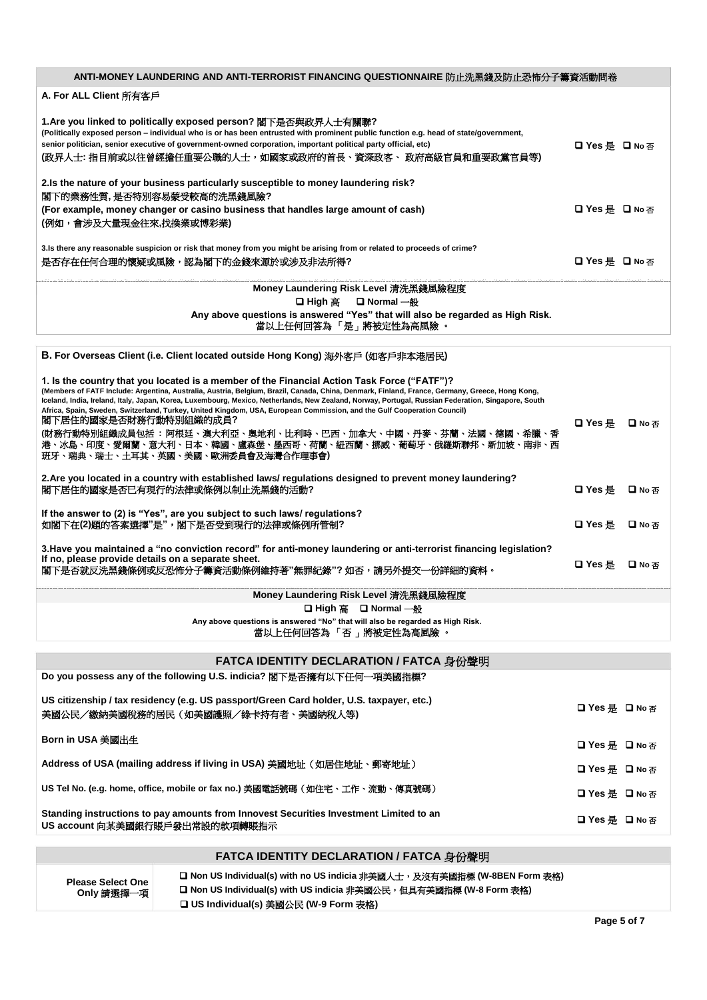| ANTI-MONEY LAUNDERING AND ANTI-TERRORIST FINANCING QUESTIONNAIRE 防止洗黑錢及防止恐怖分子籌資活動問卷                                                                                                                                                                                                                                                                                               |                |  |
|-----------------------------------------------------------------------------------------------------------------------------------------------------------------------------------------------------------------------------------------------------------------------------------------------------------------------------------------------------------------------------------|----------------|--|
| A. For ALL Client 所有客戶                                                                                                                                                                                                                                                                                                                                                            |                |  |
| 1.Are you linked to politically exposed person? 閣下是否與政界人士有關聯?<br>(Politically exposed person - individual who is or has been entrusted with prominent public function e.g. head of state/government,<br>senior politician, senior executive of government-owned corporation, important political party official, etc)<br>(政界人士: 指目前或以往曾經擔任重要公職的人士,如國家或政府的首長、資深政客、 政府高級官員和重要政黨官員等) | □ Yes 是 □ No 否 |  |
| 2. Is the nature of your business particularly susceptible to money laundering risk?<br>閣下的業務性質,是否特別容易蒙受較高的洗黑錢風險?<br>(For example, money changer or casino business that handles large amount of cash)<br>(例如,會涉及大量現金往來,找換業或博彩業)                                                                                                                                                  | □ Yes 是 □ No 否 |  |
| 3. Is there any reasonable suspicion or risk that money from you might be arising from or related to proceeds of crime?                                                                                                                                                                                                                                                           |                |  |
| 是否存在任何合理的懷疑或風險,認為閣下的金錢來源於或涉及非法所得?<br>□ Yes 是 □ No 否                                                                                                                                                                                                                                                                                                                               |                |  |
| Money Laundering Risk Level 清洗黑錢風險程度                                                                                                                                                                                                                                                                                                                                              |                |  |
| □ High 高 □ Normal 一般                                                                                                                                                                                                                                                                                                                                                              |                |  |
| Any above questions is answered "Yes" that will also be regarded as High Risk.<br>當以上任何回答為 「是」將被定性為高風險 。                                                                                                                                                                                                                                                                          |                |  |
|                                                                                                                                                                                                                                                                                                                                                                                   |                |  |
| B. For Overseas Client (i.e. Client located outside Hong Kong) 海外客戶 (如客戶非本港居民)                                                                                                                                                                                                                                                                                                    |                |  |

| Monoy Loundering Dick Lovel 洋洗网修圖绘积序                                                                                                                                                                                                                                                                                                                                                                                                                                                                                                                                                                                                                                                                                        |                |        |
|-----------------------------------------------------------------------------------------------------------------------------------------------------------------------------------------------------------------------------------------------------------------------------------------------------------------------------------------------------------------------------------------------------------------------------------------------------------------------------------------------------------------------------------------------------------------------------------------------------------------------------------------------------------------------------------------------------------------------------|----------------|--------|
| 3. Have you maintained a "no conviction record" for anti-money laundering or anti-terrorist financing legislation?<br>If no, please provide details on a separate sheet.<br>閣下是否就反洗黑錢條例或反恐怖分子籌資活動條例維持著"無罪紀錄"? 如否,請另外提交一份詳細的資料。                                                                                                                                                                                                                                                                                                                                                                                                                                                                                              | ロ Yes 是        | 口No 本  |
| If the answer to (2) is "Yes", are you subject to such laws/ regulations?<br>如閣下在(2)題的答案選擇"是",閣下是否受到現行的法律或條例所管制?                                                                                                                                                                                                                                                                                                                                                                                                                                                                                                                                                                                                            | 口 Yes 是        | □ No 本 |
| 2. Are you located in a country with established laws/ regulations designed to prevent money laundering?<br>閣下居住的國家是否已有現行的法律或條例以制止洗黑錢的活動?                                                                                                                                                                                                                                                                                                                                                                                                                                                                                                                                                                                   | □ Yes 是 □ No 否 |        |
| 1. Is the country that you located is a member of the Financial Action Task Force ("FATF")?<br>(Members of FATF Include: Argentina, Australia, Austria, Belgium, Brazil, Canada, China, Denmark, Finland, France, Germany, Greece, Hong Kong,<br>Iceland, India, Ireland, Italy, Japan, Korea, Luxembourg, Mexico, Netherlands, New Zealand, Norway, Portugal, Russian Federation, Singapore, South<br>Africa, Spain, Sweden, Switzerland, Turkey, United Kingdom, USA, European Commission, and the Gulf Cooperation Council)<br>閣下居住的國家是否財務行動特別組織的成員?<br>(財務行動特別組織成員包括 : 阿根廷、澳大利亞、奥地利、比利時、巴西、加拿大、中國、丹麥、芬蘭、法國、德國、希臘、香<br>港、冰島、印度、愛爾蘭、意大利、日本、韓國、盧森堡、墨西哥、荷蘭、紐西蘭、挪威、葡萄牙、俄羅斯聯邦、新加坡、南非、西<br>  班牙、瑞典、瑞士、十耳其、英國、美國、歐洲委員會及海灣合作理事會) | ロ Yes 是        | 口No 本  |

#### **Money Laundering Risk Level** 清洗黑錢風險程度 ❑ **High** 高 ❑ **Normal** 一般

**Any above questions is answered "No" that will also be regarded as High Risk.**

當以上任何回答為 「否 」將被定性為高風險 。

| FATCA IDENTITY DECLARATION / FATCA 身份聲明                                                                                        |                |
|--------------------------------------------------------------------------------------------------------------------------------|----------------|
| Do you possess any of the following U.S. indicia? 閣下是否擁有以下任何一項美國指標?                                                            |                |
| US citizenship / tax residency (e.g. US passport/Green Card holder, U.S. taxpayer, etc.)<br>美國公民/繳納美國稅務的居民(如美國護照/綠卡持有者、美國納稅人等) | □ Yes 是 □ No 否 |
| Born in USA 美國出生                                                                                                               | □ Yes 是 □ No 否 |
| Address of USA (mailing address if living in USA) 美國地址(如居住地址、郵寄地址)                                                             | □ Yes 是 □ No 否 |
| US Tel No. (e.g. home, office, mobile or fax no.) 美國電話號碼(如住宅、工作、流動、傳真號碼)                                                       | □ Yes 是 □ No 否 |
| Standing instructions to pay amounts from Innovest Securities Investment Limited to an<br>US account 向某美國銀行賬戶發出常設的款項轉賬指示       | □ Yes 是 □ No 否 |

## **FATCA IDENTITY DECLARATION / FATCA** 身份聲明

**Please Select One Only** 請選擇一項 □ Non US Individual(s) with no US indicia 非美國人士,及沒有美國指標 (W-8BEN Form 表格) ❑ **Non US Individual(s) with US indicia** 非美國公民,但具有美國指標 **(W-8 Form** 表格**)** ❑ **US Individual(s)** 美國公民 **(W-9 Form** 表格**)**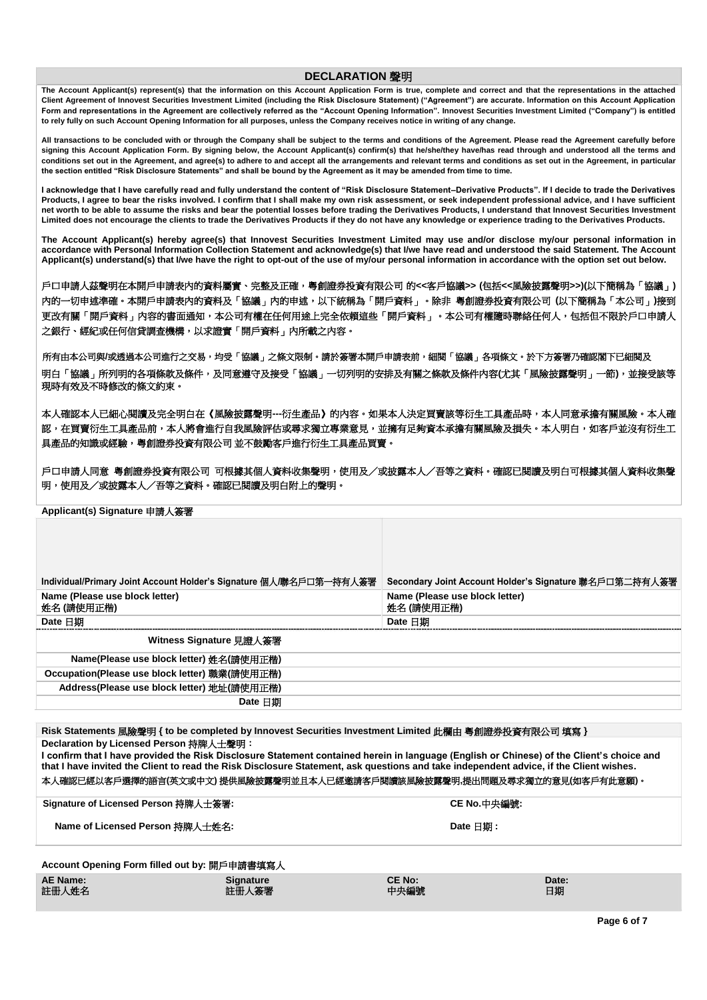### **DECLARATION** 聲明

**The Account Applicant(s) represent(s) that the information on this Account Application Form is true, complete and correct and that the representations in the attached Client Agreement of Innovest Securities Investment Limited (including the Risk Disclosure Statement) ("Agreement") are accurate. Information on this Account Application Form and representations in the Agreement are collectively referred as the "Account Opening Information". Innovest Securities Investment Limited ("Company") is entitled to rely fully on such Account Opening Information for all purposes, unless the Company receives notice in writing of any change.**

**All transactions to be concluded with or through the Company shall be subject to the terms and conditions of the Agreement. Please read the Agreement carefully before**  signing this Account Application Form. By signing below, the Account Applicant(s) confirm(s) that he/she/they have/has read through and understood all the terms and **conditions set out in the Agreement, and agree(s) to adhere to and accept all the arrangements and relevant terms and conditions as set out in the Agreement, in particular the section entitled "Risk Disclosure Statements" and shall be bound by the Agreement as it may be amended from time to time.**

**I acknowledge that I have carefully read and fully understand the content of "Risk Disclosure Statement–Derivative Products". If I decide to trade the Derivatives Products, I agree to bear the risks involved. I confirm that I shall make my own risk assessment, or seek independent professional advice, and I have sufficient net worth to be able to assume the risks and bear the potential losses before trading the Derivatives Products, I understand that Innovest Securities Investment Limited does not encourage the clients to trade the Derivatives Products if they do not have any knowledge or experience trading to the Derivatives Products.**

**The Account Applicant(s) hereby agree(s) that Innovest Securities Investment Limited may use and/or disclose my/our personal information in accordance with Personal Information Collection Statement and acknowledge(s) that I/we have read and understood the said Statement. The Account Applicant(s) understand(s) that I/we have the right to opt-out of the use of my/our personal information in accordance with the option set out below.**

戶口申請人茲聲明在本開戶申請表內的資料屬實、完整及正確,粵創證券投資有限公司 的**<<**客戶協議**>> (**包括**<<**風險披露聲明**>>)(**以下簡稱為「協議」**)**  內的一切申述準確。本開戶申請表內的資料及「協議」內的申述,以下統稱為「開戶資料」。除非 粵創證券投資有限公司 **(**以下簡稱為「本公司」**)**接到 更改有關「開戶資料」內容的書面通知,本公司有權在任何用途上完全依賴這些「開戶資料」。本公司有權隨時聯絡任何人,包括但不限於戶口申請人 之銀行、經紀或任何信貸調査機構,以求證實「開戶資料」內所載之內容。

 所有由本公司與**/**或透過本公司進行之交易,均受「協議」之條文限制。請於簽署本開戶申請表前,細閱「協議」各項條文。於下方簽署乃確認閣下已細閱及 明白「協議」所列明的各項條款及條件,及同意遵守及接受「協議」一切列明的安排及有關之條款及條件內容**(**尤其「風險披露聲明」一節**)**,並接受該等 現時有效及不時修改的條文約束。

本人確認本人已細心閱讀及完全明白在《風險披露聲明**---**衍生產品》的內容。如果本人決定買賣該等衍生工具產品時,本人同意承擔有關風險。本人確 認,在買賣衍生工具產品前,本人將會進行自我風險評估或尋求獨立專業意見,並擁有足夠資本承擔有關風險及損失。本人明白,如客戶並沒有衍生工 具產品的知識或經驗,粵創證券投資有限公司 並不鼓勵客戶進行衍生工具產品買賣。

戶口申請人同意 粵創證券投資有限公司 可根據其個人資料收集聲明,使用及/或披露本人/吾等之資料。確認已閱讀及明白可根據其個人資料收集聲 明,使用及/或披露本人/吾等之資料。確認已閱讀及明白附上的聲明。

**Applicant(s) Signature** 申請人簽署

| Individual/Primary Joint Account Holder's Signature 個人/聯名戶口第一持有人答署 | Secondary Joint Account Holder's Signature 聯名戶口第二持有人簽署 |
|--------------------------------------------------------------------|--------------------------------------------------------|
| Name (Please use block letter)<br>姓名(請使用正楷)                        | Name (Please use block letter)<br>姓名(請使用正楷)            |
| Date 日期                                                            | Date 日期                                                |
| Witness Signature 見證人簽署                                            |                                                        |
| Name(Please use block letter) 姓名(請使用正楷)                            |                                                        |
| Occupation(Please use block letter) 職業(請使用正楷)                      |                                                        |
| Address(Please use block letter) 地址(請使用正楷)                         |                                                        |
| Date 日期                                                            |                                                        |

**Risk Statements** 風險聲明 **{ to be completed by Innovest Securities Investment Limited** 此欄由 粵創證券投資有限公司 填寫 **} Declaration by Licensed Person 持牌人士聲明:** 

**I confirm that I have provided the Risk Disclosure Statement contained herein in language (English or Chinese) of the Client's choice and that I have invited the Client to read the Risk Disclosure Statement, ask questions and take independent advice, if the Client wishes.** 本人確認已經以客戶選擇的語言**(**英文或中文**)** 提供風險披露聲明並且本人已經邀請客戶閱讀該風險披露聲明**,**提出問題及尋求獨立的意見**(**如客戶有此意願**)**。

**Signature of Licensed Person** 持牌人士簽署**: CE No.**中央編號**:**

**Name of Licensed Person** 持牌人士姓名**: Date** 日期 **:**

**Account Opening Form filled out by:** 開戶申請書填寫人

**AE Name: Signature CE No: Date:** 註冊人姓名 さいしょう さいしょう きょうしょう きょうしょう こうしょう きょうしゅう 中央編號 おんだい 日期 日期

**Page 6 of 7**